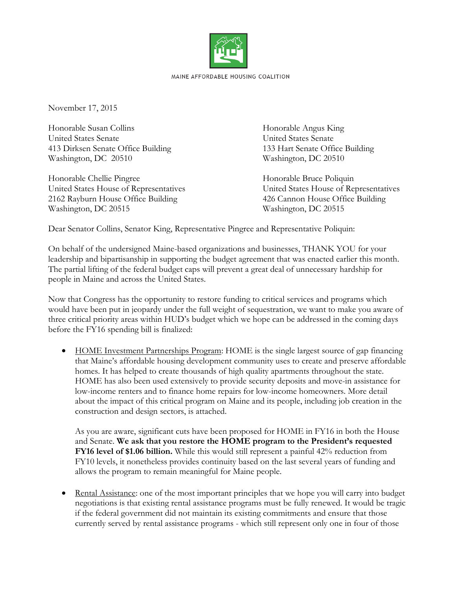

November 17, 2015

Honorable Susan Collins Honorable Angus King United States Senate United States Senate 413 Dirksen Senate Office Building 133 Hart Senate Office Building Washington, DC 20510 Washington, DC 20510

Honorable Chellie Pingree Honorable Bruce Poliquin 2162 Rayburn House Office Building 426 Cannon House Office Building Washington, DC 20515 Washington, DC 20515

United States House of Representatives United States House of Representatives

Dear Senator Collins, Senator King, Representative Pingree and Representative Poliquin:

On behalf of the undersigned Maine-based organizations and businesses, THANK YOU for your leadership and bipartisanship in supporting the budget agreement that was enacted earlier this month. The partial lifting of the federal budget caps will prevent a great deal of unnecessary hardship for people in Maine and across the United States.

Now that Congress has the opportunity to restore funding to critical services and programs which would have been put in jeopardy under the full weight of sequestration, we want to make you aware of three critical priority areas within HUD's budget which we hope can be addressed in the coming days before the FY16 spending bill is finalized:

• HOME Investment Partnerships Program: HOME is the single largest source of gap financing that Maine's affordable housing development community uses to create and preserve affordable homes. It has helped to create thousands of high quality apartments throughout the state. HOME has also been used extensively to provide security deposits and move-in assistance for low-income renters and to finance home repairs for low-income homeowners. More detail about the impact of this critical program on Maine and its people, including job creation in the construction and design sectors, is attached.

As you are aware, significant cuts have been proposed for HOME in FY16 in both the House and Senate. **We ask that you restore the HOME program to the President's requested FY16 level of \$1.06 billion.** While this would still represent a painful 42% reduction from FY10 levels, it nonetheless provides continuity based on the last several years of funding and allows the program to remain meaningful for Maine people.

 Rental Assistance: one of the most important principles that we hope you will carry into budget negotiations is that existing rental assistance programs must be fully renewed. It would be tragic if the federal government did not maintain its existing commitments and ensure that those currently served by rental assistance programs - which still represent only one in four of those